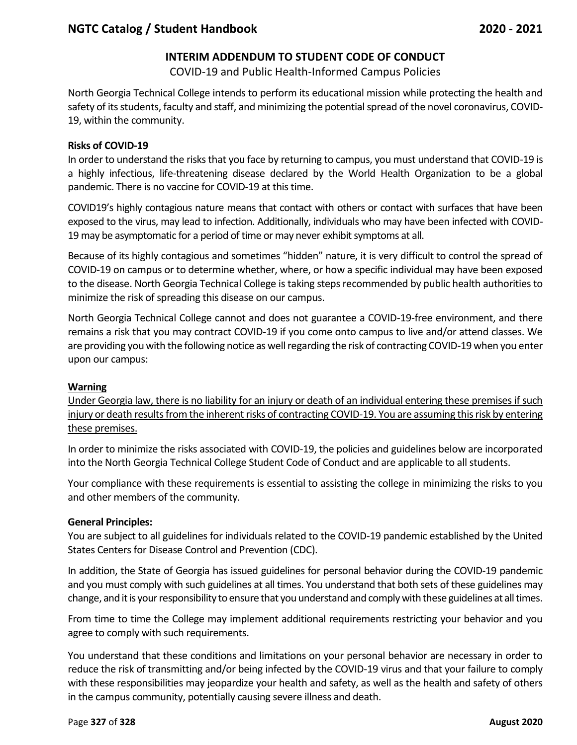# **INTERIM ADDENDUM TO STUDENT CODE OF CONDUCT**

COVID-19 and Public Health-Informed Campus Policies

North Georgia Technical College intends to perform its educational mission while protecting the health and safety of its students, faculty and staff, and minimizing the potential spread of the novel coronavirus, COVID-19, within the community.

### **Risks of COVID-19**

In order to understand the risks that you face by returning to campus, you must understand that COVID-19 is a highly infectious, life-threatening disease declared by the World Health Organization to be a global pandemic. There is no vaccine for COVID-19 at this time.

COVID19's highly contagious nature means that contact with others or contact with surfaces that have been exposed to the virus, may lead to infection. Additionally, individuals who may have been infected with COVID-19 may be asymptomatic for a period of time or may never exhibit symptoms at all.

Because of its highly contagious and sometimes "hidden" nature, it is very difficult to control the spread of COVID-19 on campus or to determine whether, where, or how a specific individual may have been exposed to the disease. North Georgia Technical College is taking steps recommended by public health authorities to minimize the risk of spreading this disease on our campus.

North Georgia Technical College cannot and does not guarantee a COVID-19-free environment, and there remains a risk that you may contract COVID-19 if you come onto campus to live and/or attend classes. We are providing you with the following notice as well regarding the risk of contracting COVID-19 when you enter upon our campus:

#### **Warning**

Under Georgia law, there is no liability for an injury or death of an individual entering these premises if such injury or death results from the inherent risks of contracting COVID-19. You are assuming this risk by entering these premises.

In order to minimize the risks associated with COVID-19, the policies and guidelines below are incorporated into the North Georgia Technical College Student Code of Conduct and are applicable to all students.

Your compliance with these requirements is essential to assisting the college in minimizing the risks to you and other members of the community.

## **General Principles:**

You are subject to all guidelines for individuals related to the COVID-19 pandemic established by the United States Centers for Disease Control and Prevention (CDC).

In addition, the State of Georgia has issued guidelines for personal behavior during the COVID-19 pandemic and you must comply with such guidelines at all times. You understand that both sets of these guidelines may change, and it is your responsibility to ensure that you understand and comply with these guidelines at all times.

From time to time the College may implement additional requirements restricting your behavior and you agree to comply with such requirements.

You understand that these conditions and limitations on your personal behavior are necessary in order to reduce the risk of transmitting and/or being infected by the COVID-19 virus and that your failure to comply with these responsibilities may jeopardize your health and safety, as well as the health and safety of others in the campus community, potentially causing severe illness and death.